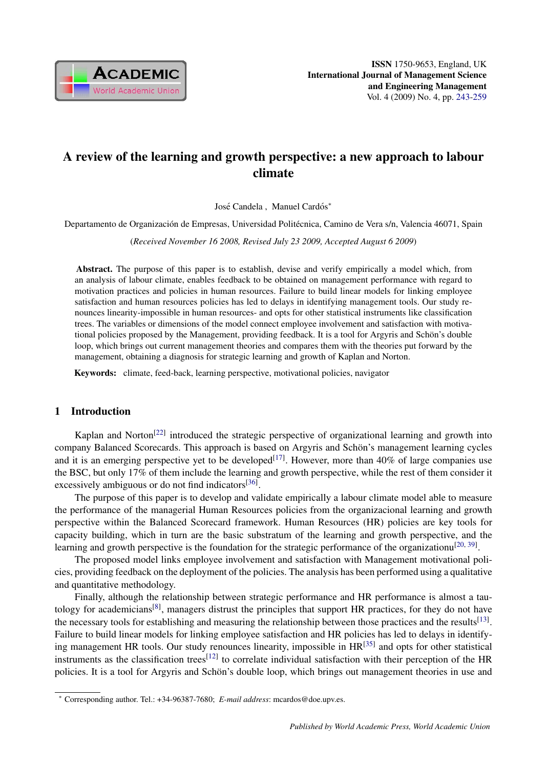

# A review of the learning and growth perspective: a new approach to labour climate

José Candela, Manuel Cardós\*

Departamento de Organización de Empresas, Universidad Politécnica, Camino de Vera s/n, Valencia 46071, Spain

(*Received November 16 2008, Revised July 23 2009, Accepted August 6 2009*)

Abstract. The purpose of this paper is to establish, devise and verify empirically a model which, from an analysis of labour climate, enables feedback to be obtained on management performance with regard to motivation practices and policies in human resources. Failure to build linear models for linking employee satisfaction and human resources policies has led to delays in identifying management tools. Our study renounces linearity-impossible in human resources- and opts for other statistical instruments like classification trees. The variables or dimensions of the model connect employee involvement and satisfaction with motivational policies proposed by the Management, providing feedback. It is a tool for Argyris and Schön's double loop, which brings out current management theories and compares them with the theories put forward by the management, obtaining a diagnosis for strategic learning and growth of Kaplan and Norton.

Keywords: climate, feed-back, learning perspective, motivational policies, navigator

### 1 Introduction

Kaplan and Norton<sup>[22]</sup> introduced the strategic perspective of organizational learning and growth into company Balanced Scorecards. This approach is based on Argyris and Schön's management learning cycles and it is an emerging perspective yet to be developed<sup>[17]</sup>. However, more than  $40\%$  of large companies use the BSC, but only 17% of them include the learning and growth perspective, while the rest of them consider it excessively ambiguous or do not find indicators<sup>[36]</sup>.

The purpose of this paper is to develop and validate empirically a labour climate model able to measure the performance of the managerial Human Resources policies from the organizacional learning and growth perspective within the Balanced Scorecard framework. Human Resources (HR) policies are key tools for capacity building, which in turn are the basic substratum of the learning and growth perspective, and the learning and growth perspective is the foundation for the strategic performance of the organizationu<sup>[20, 39]</sup>.

The proposed model links employee involvement and satisfaction with Management motivational policies, providing feedback on the deployment of the policies. The analysis has been performed using a qualitative and quantitative methodology.

Finally, although the relationship between strategic performance and HR performance is almost a tautology for academicians<sup>[8]</sup>, managers distrust the principles that support HR practices, for they do not have the necessary tools for establishing and measuring the relationship between those practices and the results<sup>[13]</sup>. Failure to build linear models for linking employee satisfaction and HR policies has led to delays in identifying management HR tools. Our study renounces linearity, impossible in HR<sup>[35]</sup> and opts for other statistical instruments as the classification trees<sup>[12]</sup> to correlate individual satisfaction with their perception of the HR policies. It is a tool for Argyris and Schön's double loop, which brings out management theories in use and

<sup>∗</sup> Corresponding author. Tel.: +34-96387-7680; *E-mail address*: mcardos@doe.upv.es.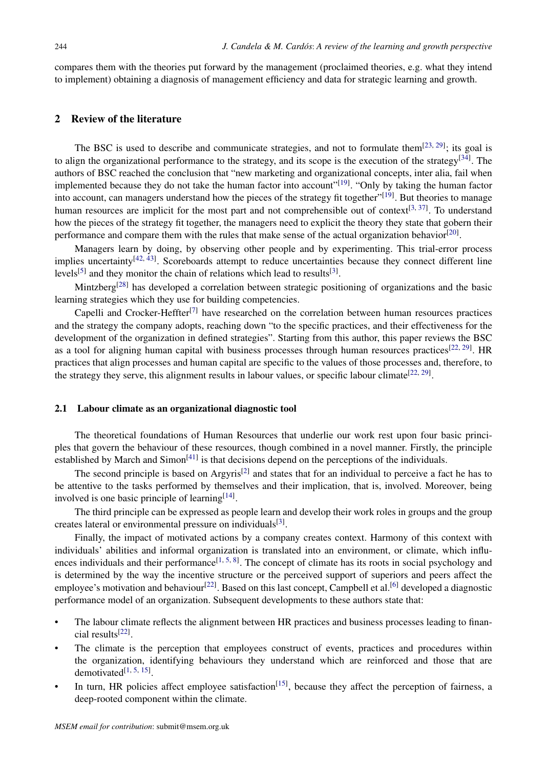compares them with the theories put forward by the management (proclaimed theories, e.g. what they intend to implement) obtaining a diagnosis of management efficiency and data for strategic learning and growth.

### 2 Review of the literature

The BSC is used to describe and communicate strategies, and not to formulate them $^{[23, 29]}$ ; its goal is to align the organizational performance to the strategy, and its scope is the execution of the strategy<sup>[34]</sup>. The authors of BSC reached the conclusion that "new marketing and organizational concepts, inter alia, fail when implemented because they do not take the human factor into account"<sup>[19]</sup>. "Only by taking the human factor into account, can managers understand how the pieces of the strategy fit together"<sup>[19]</sup>. But theories to manage human resources are implicit for the most part and not comprehensible out of context<sup>[3, 37]</sup>. To understand how the pieces of the strategy fit together, the managers need to explicit the theory they state that gobern their performance and compare them with the rules that make sense of the actual organization behavior<sup>[20]</sup>.

Managers learn by doing, by observing other people and by experimenting. This trial-error process implies uncertainty<sup>[42, 43]</sup>. Scoreboards attempt to reduce uncertainties because they connect different line levels<sup>[5]</sup> and they monitor the chain of relations which lead to results<sup>[3]</sup>.

Mintzberg[28] has developed a correlation between strategic positioning of organizations and the basic learning strategies which they use for building competencies.

Capelli and Crocker-Heffter<sup>[7]</sup> have researched on the correlation between human resources practices and the strategy the company adopts, reaching down "to the specific practices, and their effectiveness for the development of the organization in defined strategies". Starting from this author, this paper reviews the BSC as a tool for aligning human capital with business processes through human resources practices<sup>[22, 29]</sup>. HR practices that align processes and human capital are specific to the values of those processes and, therefore, to the strategy they serve, this alignment results in labour values, or specific labour climate  $[22, 29]$ .

#### 2.1 Labour climate as an organizational diagnostic tool

The theoretical foundations of Human Resources that underlie our work rest upon four basic principles that govern the behaviour of these resources, though combined in a novel manner. Firstly, the principle established by March and Simon<sup>[41]</sup> is that decisions depend on the perceptions of the individuals.

The second principle is based on Argyris<sup>[2]</sup> and states that for an individual to perceive a fact he has to be attentive to the tasks performed by themselves and their implication, that is, involved. Moreover, being involved is one basic principle of learning $[14]$ .

The third principle can be expressed as people learn and develop their work roles in groups and the group creates lateral or environmental pressure on individuals<sup>[3]</sup>.

Finally, the impact of motivated actions by a company creates context. Harmony of this context with individuals' abilities and informal organization is translated into an environment, or climate, which influences individuals and their performance<sup>[1, 5, 8]</sup>. The concept of climate has its roots in social psychology and is determined by the way the incentive structure or the perceived support of superiors and peers affect the employee's motivation and behaviour<sup>[22]</sup>. Based on this last concept, Campbell et al.<sup>[6]</sup> developed a diagnostic performance model of an organization. Subsequent developments to these authors state that:

- The labour climate reflects the alignment between HR practices and business processes leading to financial results[22] .
- The climate is the perception that employees construct of events, practices and procedures within the organization, identifying behaviours they understand which are reinforced and those that are demotivated $[1, 5, 15]$ .
- In turn, HR policies affect employee satisfaction<sup>[15]</sup>, because they affect the perception of fairness, a deep-rooted component within the climate.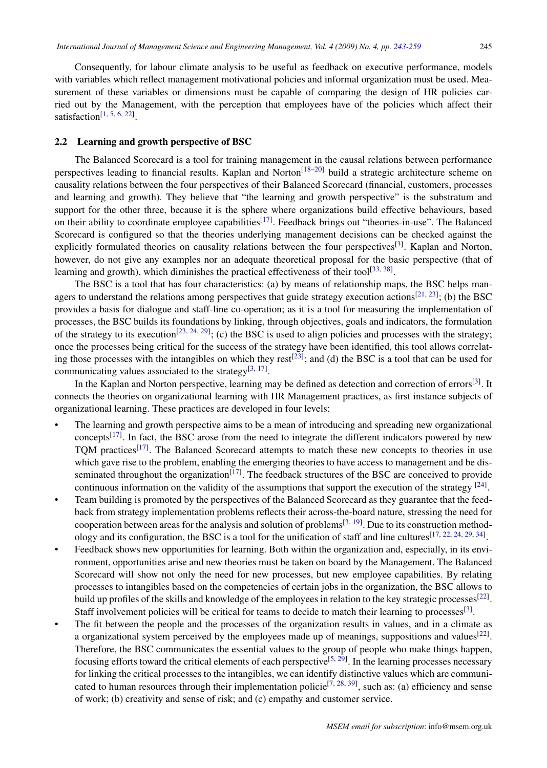Consequently, for labour climate analysis to be useful as feedback on executive performance, models with variables which reflect management motivational policies and informal organization must be used. Measurement of these variables or dimensions must be capable of comparing the design of HR policies carried out by the Management, with the perception that employees have of the policies which affect their satisfaction<sup>[1, 5, 6, 22]</sup>.

### 2.2 Learning and growth perspective of BSC

The Balanced Scorecard is a tool for training management in the causal relations between performance perspectives leading to financial results. Kaplan and Norton<sup>[18–20]</sup> build a strategic architecture scheme on causality relations between the four perspectives of their Balanced Scorecard (financial, customers, processes and learning and growth). They believe that "the learning and growth perspective" is the substratum and support for the other three, because it is the sphere where organizations build effective behaviours, based on their ability to coordinate employee capabilities<sup>[17]</sup>. Feedback brings out "theories-in-use". The Balanced Scorecard is configured so that the theories underlying management decisions can be checked against the explicitly formulated theories on causality relations between the four perspectives<sup>[3]</sup>. Kaplan and Norton, however, do not give any examples nor an adequate theoretical proposal for the basic perspective (that of learning and growth), which diminishes the practical effectiveness of their tool<sup>[33, 38]</sup>.

The BSC is a tool that has four characteristics: (a) by means of relationship maps, the BSC helps managers to understand the relations among perspectives that guide strategy execution actions<sup>[21, 23]</sup>; (b) the BSC provides a basis for dialogue and staff-line co-operation; as it is a tool for measuring the implementation of processes, the BSC builds its foundations by linking, through objectives, goals and indicators, the formulation of the strategy to its execution<sup>[23, 24, 29]</sup>; (c) the BSC is used to align policies and processes with the strategy; once the processes being critical for the success of the strategy have been identified, this tool allows correlating those processes with the intangibles on which they rest<sup>[23]</sup>; and (d) the BSC is a tool that can be used for communicating values associated to the strategy<sup>[3, 17]</sup>.

In the Kaplan and Norton perspective, learning may be defined as detection and correction of errors<sup>[3]</sup>. It connects the theories on organizational learning with HR Management practices, as first instance subjects of organizational learning. These practices are developed in four levels:

- The learning and growth perspective aims to be a mean of introducing and spreading new organizational concepts<sup>[17]</sup>. In fact, the BSC arose from the need to integrate the different indicators powered by new TQM practices<sup>[17]</sup>. The Balanced Scorecard attempts to match these new concepts to theories in use which gave rise to the problem, enabling the emerging theories to have access to management and be disseminated throughout the organization<sup>[17]</sup>. The feedback structures of the BSC are conceived to provide continuous information on the validity of the assumptions that support the execution of the strategy [24].
- Team building is promoted by the perspectives of the Balanced Scorecard as they guarantee that the feedback from strategy implementation problems reflects their across-the-board nature, stressing the need for cooperation between areas for the analysis and solution of problems<sup>[3, 19]</sup>. Due to its construction methodology and its configuration, the BSC is a tool for the unification of staff and line cultures  $[17, 22, 24, 29, 34]$ .
- Feedback shows new opportunities for learning. Both within the organization and, especially, in its environment, opportunities arise and new theories must be taken on board by the Management. The Balanced Scorecard will show not only the need for new processes, but new employee capabilities. By relating processes to intangibles based on the competencies of certain jobs in the organization, the BSC allows to build up profiles of the skills and knowledge of the employees in relation to the key strategic processes<sup>[22]</sup>. Staff involvement policies will be critical for teams to decide to match their learning to processes<sup>[3]</sup>.
- The fit between the people and the processes of the organization results in values, and in a climate as a organizational system perceived by the employees made up of meanings, suppositions and values<sup>[22]</sup>. Therefore, the BSC communicates the essential values to the group of people who make things happen, focusing efforts toward the critical elements of each perspective<sup>[5, 29]</sup>. In the learning processes necessary for linking the critical processes to the intangibles, we can identify distinctive values which are communicated to human resources through their implementation policie<sup>[7, 28, 39]</sup>, such as: (a) efficiency and sense of work; (b) creativity and sense of risk; and (c) empathy and customer service.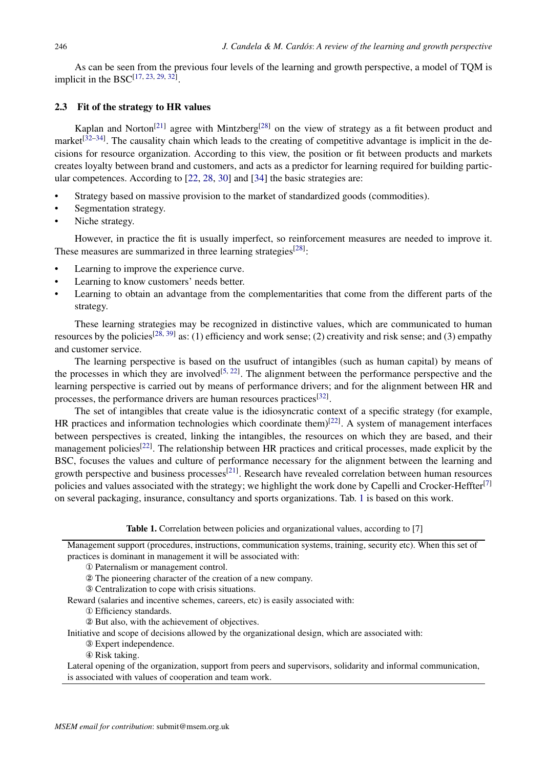As can be seen from the previous four levels of the learning and growth perspective, a model of TQM is implicit in the  $BSC^{[17, 23, 29, 32]}$ .

### 2.3 Fit of the strategy to HR values

Kaplan and Norton<sup>[21]</sup> agree with Mintzberg<sup>[28]</sup> on the view of strategy as a fit between product and market<sup>[32–34]</sup>. The causality chain which leads to the creating of competitive advantage is implicit in the decisions for resource organization. According to this view, the position or fit between products and markets creates loyalty between brand and customers, and acts as a predictor for learning required for building particular competences. According to [22, 28, 30] and [34] the basic strategies are:

- Strategy based on massive provision to the market of standardized goods (commodities).
- Segmentation strategy.
- Niche strategy.

However, in practice the fit is usually imperfect, so reinforcement measures are needed to improve it. These measures are summarized in three learning strategies<sup>[28]</sup>:

- Learning to improve the experience curve.
- Learning to know customers' needs better.
- Learning to obtain an advantage from the complementarities that come from the different parts of the strategy.

These learning strategies may be recognized in distinctive values, which are communicated to human resources by the policies<sup>[28, 39]</sup> as: (1) efficiency and work sense; (2) creativity and risk sense; and (3) empathy and customer service.

The learning perspective is based on the usufruct of intangibles (such as human capital) by means of the processes in which they are involved<sup>[5, 22]</sup>. The alignment between the performance perspective and the learning perspective is carried out by means of performance drivers; and for the alignment between HR and processes, the performance drivers are human resources practices<sup>[32]</sup>.

The set of intangibles that create value is the idiosyncratic context of a specific strategy (for example, HR practices and information technologies which coordinate them) $[22]$ . A system of management interfaces between perspectives is created, linking the intangibles, the resources on which they are based, and their management policies<sup>[22]</sup>. The relationship between HR practices and critical processes, made explicit by the BSC, focuses the values and culture of performance necessary for the alignment between the learning and growth perspective and business processes<sup>[21]</sup>. Research have revealed correlation between human resources policies and values associated with the strategy; we highlight the work done by Capelli and Crocker-Heffter<sup>[7]</sup> on several packaging, insurance, consultancy and sports organizations. Tab. 1 is based on this work.

Table 1. Correlation between policies and organizational values, according to [7]

Management support (procedures, instructions, communication systems, training, security etc). When this set of practices is dominant in management it will be associated with:

- ① Paternalism or management control.
- ② The pioneering character of the creation of a new company.

③ Centralization to cope with crisis situations.

Reward (salaries and incentive schemes, careers, etc) is easily associated with:

① Efficiency standards.

② But also, with the achievement of objectives.

Initiative and scope of decisions allowed by the organizational design, which are associated with:

- ③ Expert independence.
- ④ Risk taking.

Lateral opening of the organization, support from peers and supervisors, solidarity and informal communication, is associated with values of cooperation and team work.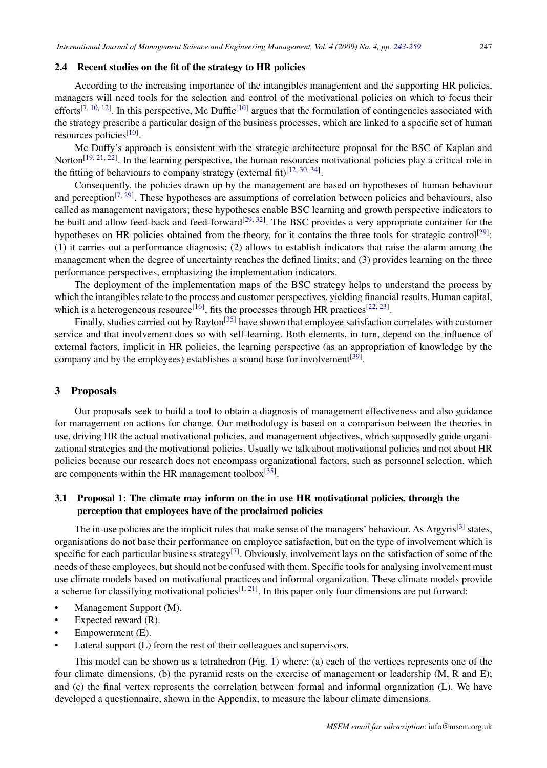### 2.4 Recent studies on the fit of the strategy to HR policies

According to the increasing importance of the intangibles management and the supporting HR policies, managers will need tools for the selection and control of the motivational policies on which to focus their efforts<sup>[7, 10, 12]</sup>. In this perspective, Mc Duffie<sup>[10]</sup> argues that the formulation of contingencies associated with the strategy prescribe a particular design of the business processes, which are linked to a specific set of human resources policies<sup>[10]</sup>.

Mc Duffy's approach is consistent with the strategic architecture proposal for the BSC of Kaplan and Norton<sup>[19, 21, 22]</sup>. In the learning perspective, the human resources motivational policies play a critical role in the fitting of behaviours to company strategy (external fit)<sup>[12, 30, 34]</sup>.

Consequently, the policies drawn up by the management are based on hypotheses of human behaviour and perception<sup>[7, 29]</sup>. These hypotheses are assumptions of correlation between policies and behaviours, also called as management navigators; these hypotheses enable BSC learning and growth perspective indicators to be built and allow feed-back and feed-forward<sup>[29, 32]</sup>. The BSC provides a very appropriate container for the hypotheses on HR policies obtained from the theory, for it contains the three tools for strategic control<sup>[29]</sup>: (1) it carries out a performance diagnosis; (2) allows to establish indicators that raise the alarm among the management when the degree of uncertainty reaches the defined limits; and (3) provides learning on the three performance perspectives, emphasizing the implementation indicators.

The deployment of the implementation maps of the BSC strategy helps to understand the process by which the intangibles relate to the process and customer perspectives, yielding financial results. Human capital, which is a heterogeneous resource<sup>[16]</sup>, fits the processes through HR practices<sup>[22, 23]</sup>.

Finally, studies carried out by Rayton<sup>[35]</sup> have shown that employee satisfaction correlates with customer service and that involvement does so with self-learning. Both elements, in turn, depend on the influence of external factors, implicit in HR policies, the learning perspective (as an appropriation of knowledge by the company and by the employees) establishes a sound base for involvement<sup>[39]</sup>.

#### 3 Proposals

Our proposals seek to build a tool to obtain a diagnosis of management effectiveness and also guidance for management on actions for change. Our methodology is based on a comparison between the theories in use, driving HR the actual motivational policies, and management objectives, which supposedly guide organizational strategies and the motivational policies. Usually we talk about motivational policies and not about HR policies because our research does not encompass organizational factors, such as personnel selection, which are components within the HR management toolbox<sup>[35]</sup>.

# 3.1 Proposal 1: The climate may inform on the in use HR motivational policies, through the perception that employees have of the proclaimed policies

The in-use policies are the implicit rules that make sense of the managers' behaviour. As Argyris<sup>[3]</sup> states, organisations do not base their performance on employee satisfaction, but on the type of involvement which is specific for each particular business strategy<sup>[7]</sup>. Obviously, involvement lays on the satisfaction of some of the needs of these employees, but should not be confused with them. Specific tools for analysing involvement must use climate models based on motivational practices and informal organization. These climate models provide a scheme for classifying motivational policies<sup>[1, 21]</sup>. In this paper only four dimensions are put forward:

- Management Support (M).
- Expected reward (R).
- Empowerment (E).
- Lateral support (L) from the rest of their colleagues and supervisors.

This model can be shown as a tetrahedron (Fig. 1) where: (a) each of the vertices represents one of the four climate dimensions, (b) the pyramid rests on the exercise of management or leadership (M, R and E); and (c) the final vertex represents the correlation between formal and informal organization (L). We have developed a questionnaire, shown in the Appendix, to measure the labour climate dimensions.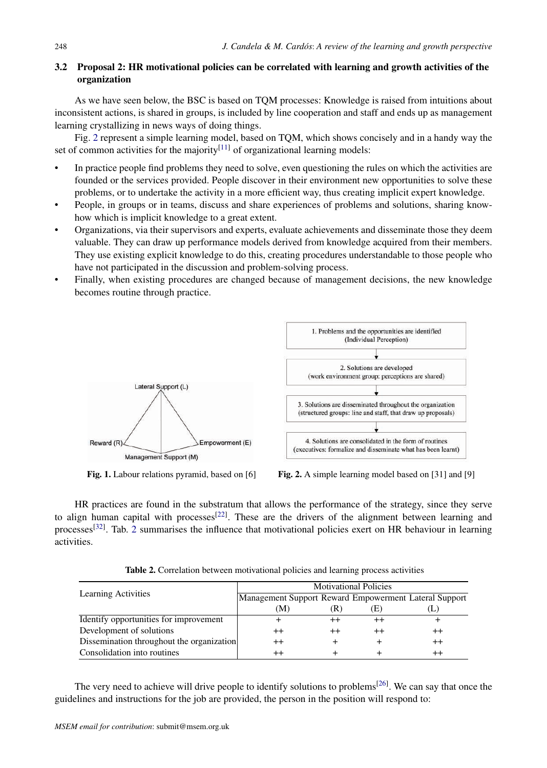# 3.2 Proposal 2: HR motivational policies can be correlated with learning and growth activities of the organization

As we have seen below, the BSC is based on TQM processes: Knowledge is raised from intuitions about inconsistent actions, is shared in groups, is included by line cooperation and staff and ends up as management learning crystallizing in news ways of doing things.

Fig. 2 represent a simple learning model, based on TQM, which shows concisely and in a handy way the set of common activities for the majority<sup>[11]</sup> of organizational learning models:

- In practice people find problems they need to solve, even questioning the rules on which the activities are founded or the services provided. People discover in their environment new opportunities to solve these problems, or to undertake the activity in a more efficient way, thus creating implicit expert knowledge.
- People, in groups or in teams, discuss and share experiences of problems and solutions, sharing knowhow which is implicit knowledge to a great extent.
- Organizations, via their supervisors and experts, evaluate achievements and disseminate those they deem valuable. They can draw up performance models derived from knowledge acquired from their members. They use existing explicit knowledge to do this, creating procedures understandable to those people who have not participated in the discussion and problem-solving process.
- Finally, when existing procedures are changed because of management decisions, the new knowledge becomes routine through practice.



Fig. 1. Labour relations pyramid, based on [6] Fig. 2. A simple learning model based on [31] and [9]

HR practices are found in the substratum that allows the performance of the strategy, since they serve to align human capital with processes<sup>[22]</sup>. These are the drivers of the alignment between learning and processes<sup>[32]</sup>. Tab. 2 summarises the influence that motivational policies exert on HR behaviour in learning activities.

|                                           | <b>Motivational Policies</b>                          |    |    |                  |  |
|-------------------------------------------|-------------------------------------------------------|----|----|------------------|--|
| Learning Activities                       | Management Support Reward Empowerment Lateral Support |    |    |                  |  |
|                                           | (M)                                                   | K) | 上) | Œ.               |  |
| Identify opportunities for improvement    |                                                       |    |    |                  |  |
| Development of solutions                  | $^{++}$                                               |    |    | $^{\mathrm{++}}$ |  |
| Dissemination throughout the organization | $^{++}$                                               |    |    |                  |  |
| Consolidation into routines               | $^{++}$                                               |    |    |                  |  |

Table 2. Correlation between motivational policies and learning process activities

The very need to achieve will drive people to identify solutions to problems<sup>[26]</sup>. We can say that once the guidelines and instructions for the job are provided, the person in the position will respond to: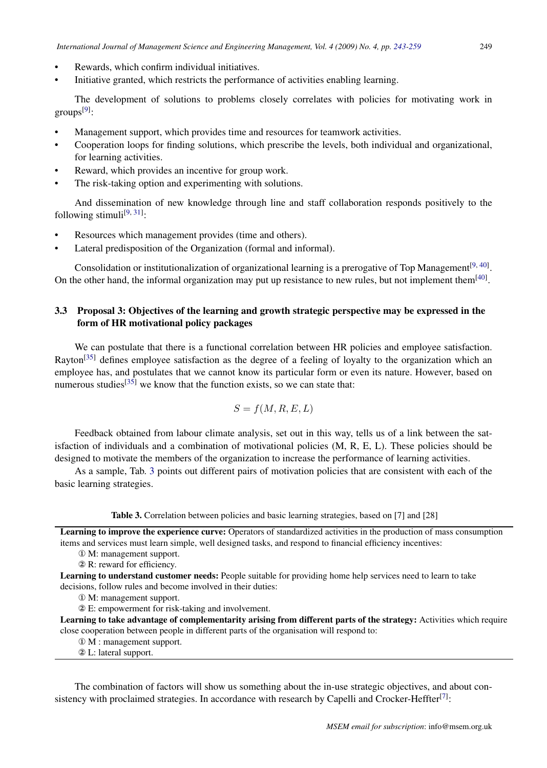- Rewards, which confirm individual initiatives.
- Initiative granted, which restricts the performance of activities enabling learning.

The development of solutions to problems closely correlates with policies for motivating work in groups<sup>[9]</sup>:

- Management support, which provides time and resources for teamwork activities.
- Cooperation loops for finding solutions, which prescribe the levels, both individual and organizational, for learning activities.
- Reward, which provides an incentive for group work.
- The risk-taking option and experimenting with solutions.

And dissemination of new knowledge through line and staff collaboration responds positively to the following stimuli<sup>[9, 31]</sup>:

- Resources which management provides (time and others).
- Lateral predisposition of the Organization (formal and informal).

Consolidation or institutionalization of organizational learning is a prerogative of Top Management<sup>[9, 40]</sup>. On the other hand, the informal organization may put up resistance to new rules, but not implement them<sup>[40]</sup>.

## 3.3 Proposal 3: Objectives of the learning and growth strategic perspective may be expressed in the form of HR motivational policy packages

We can postulate that there is a functional correlation between HR policies and employee satisfaction. Rayton<sup>[35]</sup> defines employee satisfaction as the degree of a feeling of loyalty to the organization which an employee has, and postulates that we cannot know its particular form or even its nature. However, based on numerous studies<sup>[35]</sup> we know that the function exists, so we can state that:

$$
S = f(M, R, E, L)
$$

Feedback obtained from labour climate analysis, set out in this way, tells us of a link between the satisfaction of individuals and a combination of motivational policies (M, R, E, L). These policies should be designed to motivate the members of the organization to increase the performance of learning activities.

As a sample, Tab. 3 points out different pairs of motivation policies that are consistent with each of the basic learning strategies.

Table 3. Correlation between policies and basic learning strategies, based on [7] and [28]

Learning to improve the experience curve: Operators of standardized activities in the production of mass consumption items and services must learn simple, well designed tasks, and respond to financial efficiency incentives:

① M: management support.

② R: reward for efficiency.

Learning to understand customer needs: People suitable for providing home help services need to learn to take decisions, follow rules and become involved in their duties:

① M: management support.

② E: empowerment for risk-taking and involvement.

Learning to take advantage of complementarity arising from different parts of the strategy: Activities which require close cooperation between people in different parts of the organisation will respond to:

① M : management support.

② L: lateral support.

The combination of factors will show us something about the in-use strategic objectives, and about consistency with proclaimed strategies. In accordance with research by Capelli and Crocker-Heffter<sup>[7]</sup>: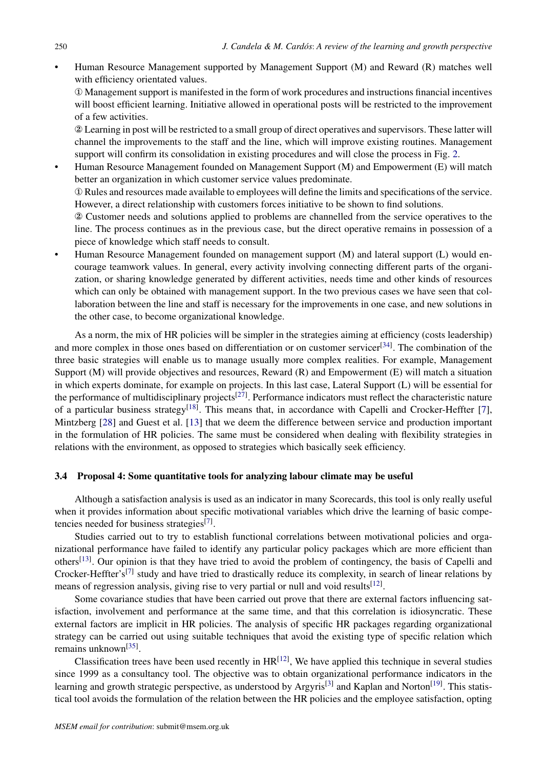• Human Resource Management supported by Management Support (M) and Reward (R) matches well with efficiency orientated values.

① Management support is manifested in the form of work procedures and instructions financial incentives will boost efficient learning. Initiative allowed in operational posts will be restricted to the improvement of a few activities.

② Learning in post will be restricted to a small group of direct operatives and supervisors. These latter will channel the improvements to the staff and the line, which will improve existing routines. Management support will confirm its consolidation in existing procedures and will close the process in Fig. 2.

• Human Resource Management founded on Management Support (M) and Empowerment (E) will match better an organization in which customer service values predominate.

① Rules and resources made available to employees will define the limits and specifications of the service. However, a direct relationship with customers forces initiative to be shown to find solutions.

② Customer needs and solutions applied to problems are channelled from the service operatives to the line. The process continues as in the previous case, but the direct operative remains in possession of a piece of knowledge which staff needs to consult.

• Human Resource Management founded on management support (M) and lateral support (L) would encourage teamwork values. In general, every activity involving connecting different parts of the organization, or sharing knowledge generated by different activities, needs time and other kinds of resources which can only be obtained with management support. In the two previous cases we have seen that collaboration between the line and staff is necessary for the improvements in one case, and new solutions in the other case, to become organizational knowledge.

As a norm, the mix of HR policies will be simpler in the strategies aiming at efficiency (costs leadership) and more complex in those ones based on differentiation or on customer servicer<sup>[34]</sup>. The combination of the three basic strategies will enable us to manage usually more complex realities. For example, Management Support (M) will provide objectives and resources, Reward (R) and Empowerment (E) will match a situation in which experts dominate, for example on projects. In this last case, Lateral Support (L) will be essential for the performance of multidisciplinary projects<sup>[27]</sup>. Performance indicators must reflect the characteristic nature of a particular business strategy<sup>[18]</sup>. This means that, in accordance with Capelli and Crocker-Heffter [7], Mintzberg [28] and Guest et al. [13] that we deem the difference between service and production important in the formulation of HR policies. The same must be considered when dealing with flexibility strategies in relations with the environment, as opposed to strategies which basically seek efficiency.

### 3.4 Proposal 4: Some quantitative tools for analyzing labour climate may be useful

Although a satisfaction analysis is used as an indicator in many Scorecards, this tool is only really useful when it provides information about specific motivational variables which drive the learning of basic competencies needed for business strategies<sup>[7]</sup>.

Studies carried out to try to establish functional correlations between motivational policies and organizational performance have failed to identify any particular policy packages which are more efficient than others<sup>[13]</sup>. Our opinion is that they have tried to avoid the problem of contingency, the basis of Capelli and Crocker-Heffter's<sup>[7]</sup> study and have tried to drastically reduce its complexity, in search of linear relations by means of regression analysis, giving rise to very partial or null and void results<sup>[12]</sup>.

Some covariance studies that have been carried out prove that there are external factors influencing satisfaction, involvement and performance at the same time, and that this correlation is idiosyncratic. These external factors are implicit in HR policies. The analysis of specific HR packages regarding organizational strategy can be carried out using suitable techniques that avoid the existing type of specific relation which remains unknown<sup>[35]</sup>.

Classification trees have been used recently in  $HR^{[12]}$ , We have applied this technique in several studies since 1999 as a consultancy tool. The objective was to obtain organizational performance indicators in the learning and growth strategic perspective, as understood by Argyris<sup>[3]</sup> and Kaplan and Norton<sup>[19]</sup>. This statistical tool avoids the formulation of the relation between the HR policies and the employee satisfaction, opting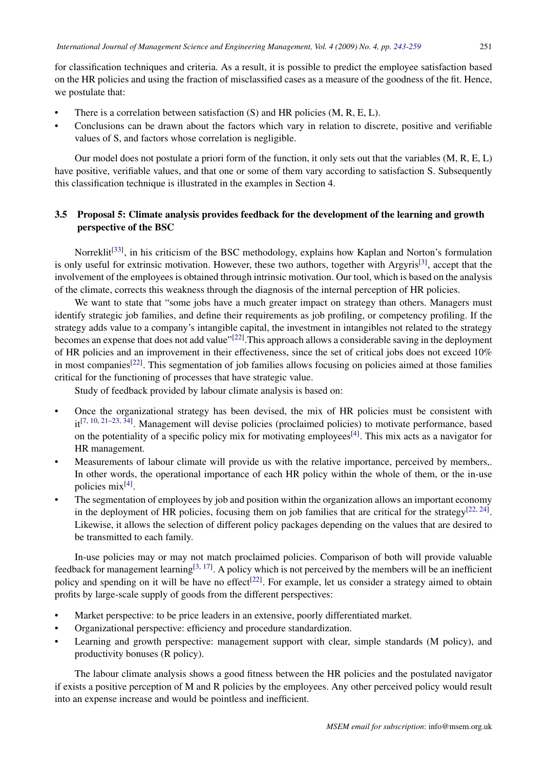for classification techniques and criteria. As a result, it is possible to predict the employee satisfaction based on the HR policies and using the fraction of misclassified cases as a measure of the goodness of the fit. Hence, we postulate that:

- There is a correlation between satisfaction  $(S)$  and HR policies  $(M, R, E, L)$ .
- Conclusions can be drawn about the factors which vary in relation to discrete, positive and verifiable values of S, and factors whose correlation is negligible.

Our model does not postulate a priori form of the function, it only sets out that the variables (M, R, E, L) have positive, verifiable values, and that one or some of them vary according to satisfaction S. Subsequently this classification technique is illustrated in the examples in Section 4.

# 3.5 Proposal 5: Climate analysis provides feedback for the development of the learning and growth perspective of the BSC

Norreklit<sup>[33]</sup>, in his criticism of the BSC methodology, explains how Kaplan and Norton's formulation is only useful for extrinsic motivation. However, these two authors, together with Argyris<sup>[3]</sup>, accept that the involvement of the employees is obtained through intrinsic motivation. Our tool, which is based on the analysis of the climate, corrects this weakness through the diagnosis of the internal perception of HR policies.

We want to state that "some jobs have a much greater impact on strategy than others. Managers must identify strategic job families, and define their requirements as job profiling, or competency profiling. If the strategy adds value to a company's intangible capital, the investment in intangibles not related to the strategy becomes an expense that does not add value"<sup>[22]</sup>. This approach allows a considerable saving in the deployment of HR policies and an improvement in their effectiveness, since the set of critical jobs does not exceed 10% in most companies<sup>[22]</sup>. This segmentation of job families allows focusing on policies aimed at those families critical for the functioning of processes that have strategic value.

Study of feedback provided by labour climate analysis is based on:

- Once the organizational strategy has been devised, the mix of HR policies must be consistent with it<sup>[7, 10, 21–23, 34]</sup>. Management will devise policies (proclaimed policies) to motivate performance, based on the potentiality of a specific policy mix for motivating employees<sup>[4]</sup>. This mix acts as a navigator for HR management.
- Measurements of labour climate will provide us with the relative importance, perceived by members,. In other words, the operational importance of each HR policy within the whole of them, or the in-use policies mix<sup>[4]</sup>.
- The segmentation of employees by job and position within the organization allows an important economy in the deployment of HR policies, focusing them on job families that are critical for the strategy $[22, 24]$ . Likewise, it allows the selection of different policy packages depending on the values that are desired to be transmitted to each family.

In-use policies may or may not match proclaimed policies. Comparison of both will provide valuable feedback for management learning<sup>[3, 17]</sup>. A policy which is not perceived by the members will be an inefficient policy and spending on it will be have no effect<sup>[22]</sup>. For example, let us consider a strategy aimed to obtain profits by large-scale supply of goods from the different perspectives:

- Market perspective: to be price leaders in an extensive, poorly differentiated market.
- Organizational perspective: efficiency and procedure standardization.
- Learning and growth perspective: management support with clear, simple standards (M policy), and productivity bonuses (R policy).

The labour climate analysis shows a good fitness between the HR policies and the postulated navigator if exists a positive perception of M and R policies by the employees. Any other perceived policy would result into an expense increase and would be pointless and inefficient.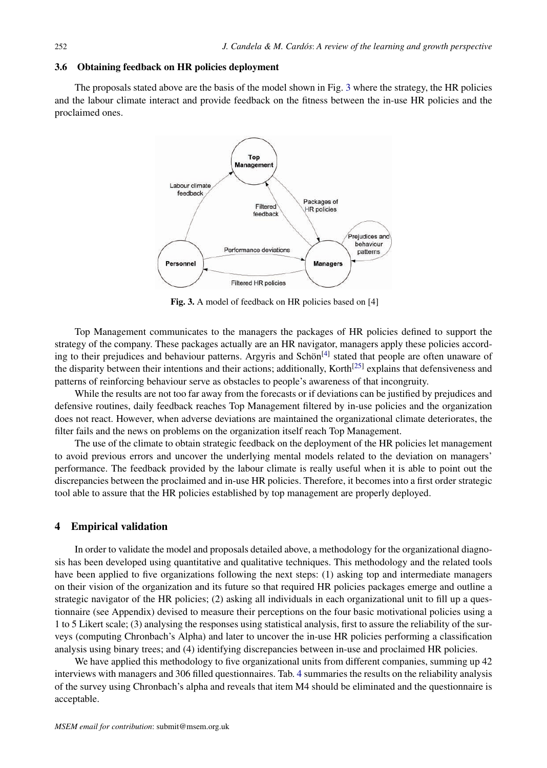### 3.6 Obtaining feedback on HR policies deployment

The proposals stated above are the basis of the model shown in Fig. 3 where the strategy, the HR policies and the labour climate interact and provide feedback on the fitness between the in-use HR policies and the proclaimed ones.



Fig. 3. A model of feedback on HR policies based on [4]

Top Management communicates to the managers the packages of HR policies defined to support the strategy of the company. These packages actually are an HR navigator, managers apply these policies according to their prejudices and behaviour patterns. Argyris and Schön<sup>[4]</sup> stated that people are often unaware of the disparity between their intentions and their actions; additionally, Korth<sup>[25]</sup> explains that defensiveness and patterns of reinforcing behaviour serve as obstacles to people's awareness of that incongruity.

While the results are not too far away from the forecasts or if deviations can be justified by prejudices and defensive routines, daily feedback reaches Top Management filtered by in-use policies and the organization does not react. However, when adverse deviations are maintained the organizational climate deteriorates, the filter fails and the news on problems on the organization itself reach Top Management.

The use of the climate to obtain strategic feedback on the deployment of the HR policies let management to avoid previous errors and uncover the underlying mental models related to the deviation on managers' performance. The feedback provided by the labour climate is really useful when it is able to point out the discrepancies between the proclaimed and in-use HR policies. Therefore, it becomes into a first order strategic tool able to assure that the HR policies established by top management are properly deployed.

### 4 Empirical validation

In order to validate the model and proposals detailed above, a methodology for the organizational diagnosis has been developed using quantitative and qualitative techniques. This methodology and the related tools have been applied to five organizations following the next steps: (1) asking top and intermediate managers on their vision of the organization and its future so that required HR policies packages emerge and outline a strategic navigator of the HR policies; (2) asking all individuals in each organizational unit to fill up a questionnaire (see Appendix) devised to measure their perceptions on the four basic motivational policies using a 1 to 5 Likert scale; (3) analysing the responses using statistical analysis, first to assure the reliability of the surveys (computing Chronbach's Alpha) and later to uncover the in-use HR policies performing a classification analysis using binary trees; and (4) identifying discrepancies between in-use and proclaimed HR policies.

We have applied this methodology to five organizational units from different companies, summing up 42 interviews with managers and 306 filled questionnaires. Tab. 4 summaries the results on the reliability analysis of the survey using Chronbach's alpha and reveals that item M4 should be eliminated and the questionnaire is acceptable.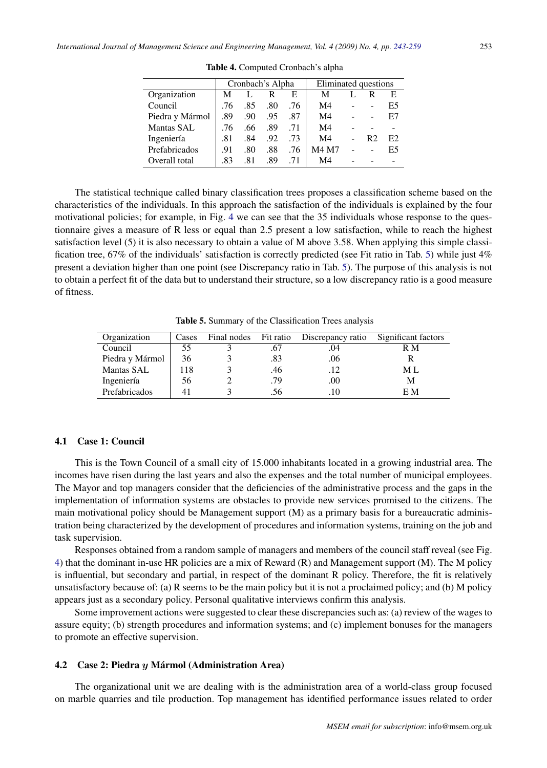|                 | Cronbach's Alpha |     |     | Eliminated questions |                |  |    |    |
|-----------------|------------------|-----|-----|----------------------|----------------|--|----|----|
| Organization    | M                |     | R   | E                    | M              |  | R  | E  |
| Council         | .76              | .85 | .80 | .76                  | M4             |  |    | E5 |
| Piedra y Mármol | .89              | .90 | .95 | .87                  | M4             |  | ۰  | E7 |
| Mantas SAL      | .76              | .66 | .89 | .71                  | M4             |  |    |    |
| Ingeniería      | .81              | .84 | .92 | .73                  | M <sub>4</sub> |  | R2 | E2 |
| Prefabricados   | .91              | .80 | .88 | .76                  | M4 M7          |  |    | E5 |
| Overall total   | .83              | .81 | .89 | .71                  | M <sub>4</sub> |  |    |    |

Table 4. Computed Cronbach's alpha

The statistical technique called binary classification trees proposes a classification scheme based on the characteristics of the individuals. In this approach the satisfaction of the individuals is explained by the four motivational policies; for example, in Fig. 4 we can see that the 35 individuals whose response to the questionnaire gives a measure of R less or equal than 2.5 present a low satisfaction, while to reach the highest satisfaction level (5) it is also necessary to obtain a value of M above 3.58. When applying this simple classification tree, 67% of the individuals' satisfaction is correctly predicted (see Fit ratio in Tab. 5) while just 4% present a deviation higher than one point (see Discrepancy ratio in Tab. 5). The purpose of this analysis is not to obtain a perfect fit of the data but to understand their structure, so a low discrepancy ratio is a good measure of fitness.

Table 5. Summary of the Classification Trees analysis

| Organization      | Cases | Final nodes | Fit ratio | Discrepancy ratio Significant factors |     |
|-------------------|-------|-------------|-----------|---------------------------------------|-----|
| Council           | 55    |             | .67       | .04                                   | R M |
| Piedra y Mármol   | 36    |             | .83       | .06                                   |     |
| <b>Mantas SAL</b> | 118   |             | .46       | .12                                   | M L |
| Ingeniería        | 56    |             | .79       | .00                                   | М   |
| Prefabricados     |       |             | .56       | .10                                   | E M |

#### 4.1 Case 1: Council

This is the Town Council of a small city of 15.000 inhabitants located in a growing industrial area. The incomes have risen during the last years and also the expenses and the total number of municipal employees. The Mayor and top managers consider that the deficiencies of the administrative process and the gaps in the implementation of information systems are obstacles to provide new services promised to the citizens. The main motivational policy should be Management support (M) as a primary basis for a bureaucratic administration being characterized by the development of procedures and information systems, training on the job and task supervision.

Responses obtained from a random sample of managers and members of the council staff reveal (see Fig. 4) that the dominant in-use HR policies are a mix of Reward (R) and Management support (M). The M policy is influential, but secondary and partial, in respect of the dominant R policy. Therefore, the fit is relatively unsatisfactory because of: (a) R seems to be the main policy but it is not a proclaimed policy; and (b) M policy appears just as a secondary policy. Personal qualitative interviews confirm this analysis.

Some improvement actions were suggested to clear these discrepancies such as: (a) review of the wages to assure equity; (b) strength procedures and information systems; and (c) implement bonuses for the managers to promote an effective supervision.

#### 4.2 Case 2: Piedra y Mármol (Administration Area)

The organizational unit we are dealing with is the administration area of a world-class group focused on marble quarries and tile production. Top management has identified performance issues related to order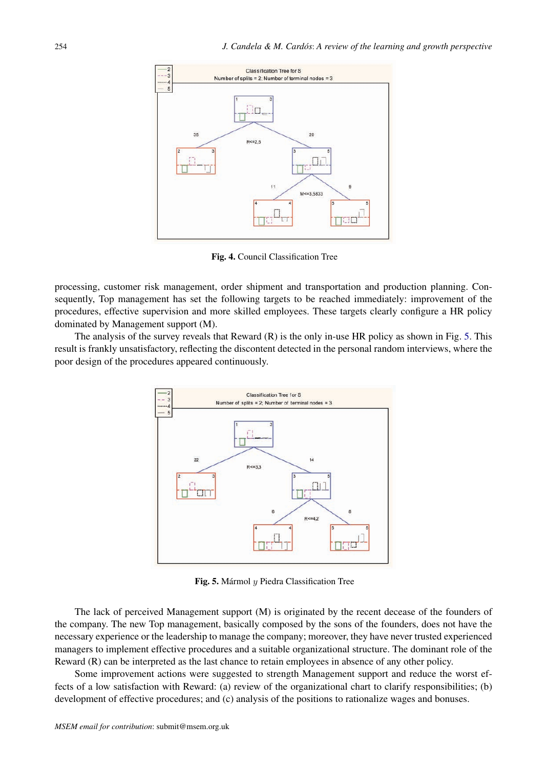

Fig. 4. Council Classification Tree

processing, customer risk management, order shipment and transportation and production planning. Consequently, Top management has set the following targets to be reached immediately: improvement of the procedures, effective supervision and more skilled employees. These targets clearly configure a HR policy dominated by Management support (M).

The analysis of the survey reveals that Reward (R) is the only in-use HR policy as shown in Fig. 5. This result is frankly unsatisfactory, reflecting the discontent detected in the personal random interviews, where the poor design of the procedures appeared continuously.



Fig. 5. Mármol  $y$  Piedra Classification Tree

The lack of perceived Management support (M) is originated by the recent decease of the founders of the company. The new Top management, basically composed by the sons of the founders, does not have the necessary experience or the leadership to manage the company; moreover, they have never trusted experienced managers to implement effective procedures and a suitable organizational structure. The dominant role of the Reward (R) can be interpreted as the last chance to retain employees in absence of any other policy.

Some improvement actions were suggested to strength Management support and reduce the worst effects of a low satisfaction with Reward: (a) review of the organizational chart to clarify responsibilities; (b) development of effective procedures; and (c) analysis of the positions to rationalize wages and bonuses.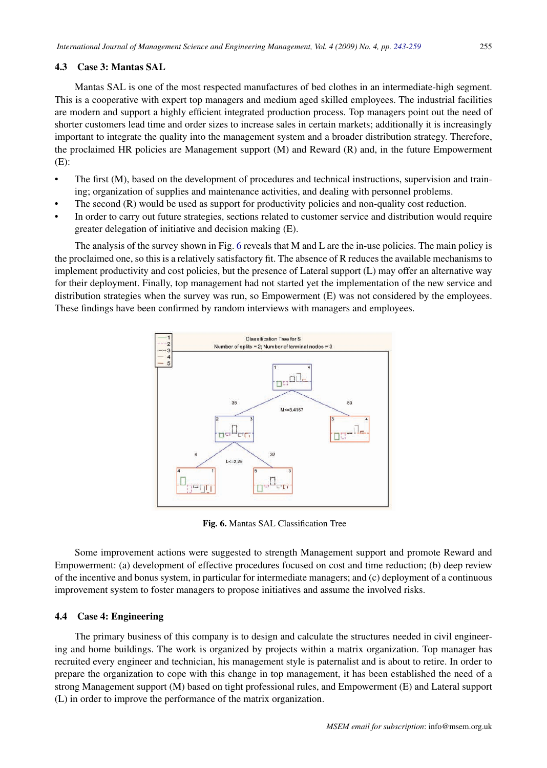# 4.3 Case 3: Mantas SAL

Mantas SAL is one of the most respected manufactures of bed clothes in an intermediate-high segment. This is a cooperative with expert top managers and medium aged skilled employees. The industrial facilities are modern and support a highly efficient integrated production process. Top managers point out the need of shorter customers lead time and order sizes to increase sales in certain markets; additionally it is increasingly important to integrate the quality into the management system and a broader distribution strategy. Therefore, the proclaimed HR policies are Management support (M) and Reward (R) and, in the future Empowerment (E):

- The first (M), based on the development of procedures and technical instructions, supervision and training; organization of supplies and maintenance activities, and dealing with personnel problems.
- The second (R) would be used as support for productivity policies and non-quality cost reduction.
- In order to carry out future strategies, sections related to customer service and distribution would require greater delegation of initiative and decision making (E).

The analysis of the survey shown in Fig. 6 reveals that M and L are the in-use policies. The main policy is the proclaimed one, so this is a relatively satisfactory fit. The absence of R reduces the available mechanisms to implement productivity and cost policies, but the presence of Lateral support (L) may offer an alternative way for their deployment. Finally, top management had not started yet the implementation of the new service and distribution strategies when the survey was run, so Empowerment (E) was not considered by the employees. These findings have been confirmed by random interviews with managers and employees.



Fig. 6. Mantas SAL Classification Tree

Some improvement actions were suggested to strength Management support and promote Reward and Empowerment: (a) development of effective procedures focused on cost and time reduction; (b) deep review of the incentive and bonus system, in particular for intermediate managers; and (c) deployment of a continuous improvement system to foster managers to propose initiatives and assume the involved risks.

# 4.4 Case 4: Engineering

The primary business of this company is to design and calculate the structures needed in civil engineering and home buildings. The work is organized by projects within a matrix organization. Top manager has recruited every engineer and technician, his management style is paternalist and is about to retire. In order to prepare the organization to cope with this change in top management, it has been established the need of a strong Management support (M) based on tight professional rules, and Empowerment (E) and Lateral support (L) in order to improve the performance of the matrix organization.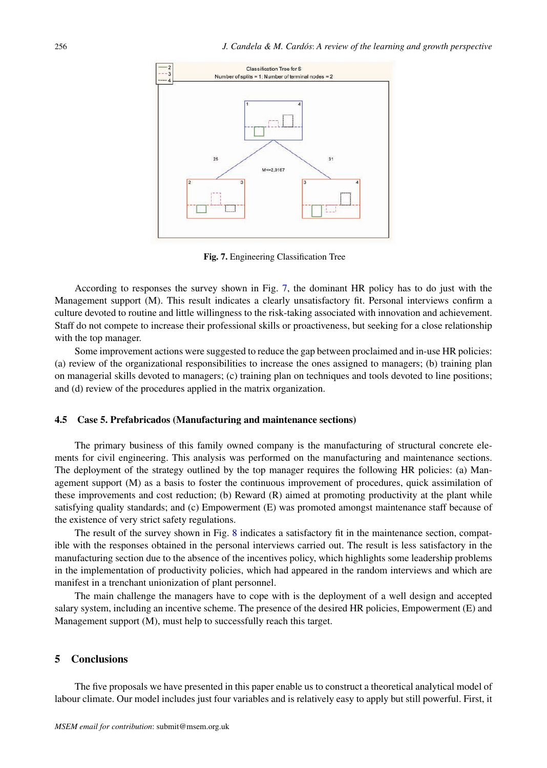

Fig. 7. Engineering Classification Tree

According to responses the survey shown in Fig. 7, the dominant HR policy has to do just with the Management support (M). This result indicates a clearly unsatisfactory fit. Personal interviews confirm a culture devoted to routine and little willingness to the risk-taking associated with innovation and achievement. Staff do not compete to increase their professional skills or proactiveness, but seeking for a close relationship with the top manager.

Some improvement actions were suggested to reduce the gap between proclaimed and in-use HR policies: (a) review of the organizational responsibilities to increase the ones assigned to managers; (b) training plan on managerial skills devoted to managers; (c) training plan on techniques and tools devoted to line positions; and (d) review of the procedures applied in the matrix organization.

### 4.5 Case 5. Prefabricados (Manufacturing and maintenance sections)

The primary business of this family owned company is the manufacturing of structural concrete elements for civil engineering. This analysis was performed on the manufacturing and maintenance sections. The deployment of the strategy outlined by the top manager requires the following HR policies: (a) Management support (M) as a basis to foster the continuous improvement of procedures, quick assimilation of these improvements and cost reduction; (b) Reward (R) aimed at promoting productivity at the plant while satisfying quality standards; and (c) Empowerment (E) was promoted amongst maintenance staff because of the existence of very strict safety regulations.

The result of the survey shown in Fig. 8 indicates a satisfactory fit in the maintenance section, compatible with the responses obtained in the personal interviews carried out. The result is less satisfactory in the manufacturing section due to the absence of the incentives policy, which highlights some leadership problems in the implementation of productivity policies, which had appeared in the random interviews and which are manifest in a trenchant unionization of plant personnel.

The main challenge the managers have to cope with is the deployment of a well design and accepted salary system, including an incentive scheme. The presence of the desired HR policies, Empowerment (E) and Management support (M), must help to successfully reach this target.

# 5 Conclusions

The five proposals we have presented in this paper enable us to construct a theoretical analytical model of labour climate. Our model includes just four variables and is relatively easy to apply but still powerful. First, it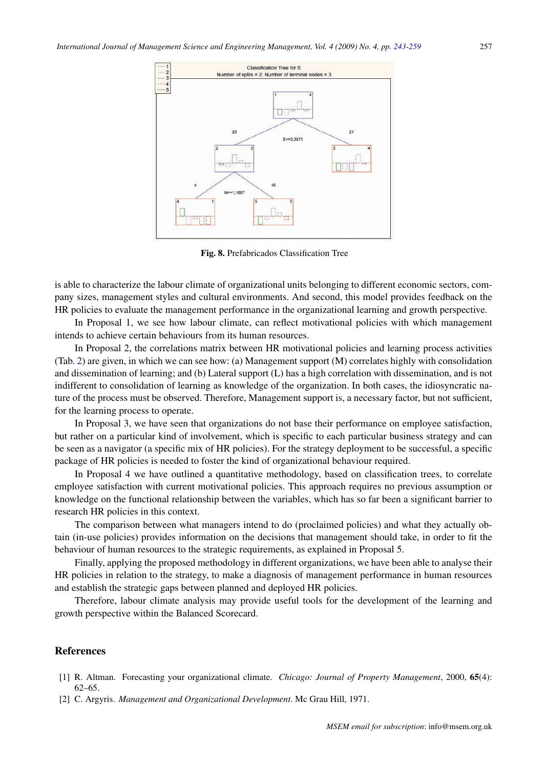

Fig. 8. Prefabricados Classification Tree

is able to characterize the labour climate of organizational units belonging to different economic sectors, company sizes, management styles and cultural environments. And second, this model provides feedback on the HR policies to evaluate the management performance in the organizational learning and growth perspective.

In Proposal 1, we see how labour climate, can reflect motivational policies with which management intends to achieve certain behaviours from its human resources.

In Proposal 2, the correlations matrix between HR motivational policies and learning process activities (Tab. 2) are given, in which we can see how: (a) Management support (M) correlates highly with consolidation and dissemination of learning; and (b) Lateral support (L) has a high correlation with dissemination, and is not indifferent to consolidation of learning as knowledge of the organization. In both cases, the idiosyncratic nature of the process must be observed. Therefore, Management support is, a necessary factor, but not sufficient, for the learning process to operate.

In Proposal 3, we have seen that organizations do not base their performance on employee satisfaction, but rather on a particular kind of involvement, which is specific to each particular business strategy and can be seen as a navigator (a specific mix of HR policies). For the strategy deployment to be successful, a specific package of HR policies is needed to foster the kind of organizational behaviour required.

In Proposal 4 we have outlined a quantitative methodology, based on classification trees, to correlate employee satisfaction with current motivational policies. This approach requires no previous assumption or knowledge on the functional relationship between the variables, which has so far been a significant barrier to research HR policies in this context.

The comparison between what managers intend to do (proclaimed policies) and what they actually obtain (in-use policies) provides information on the decisions that management should take, in order to fit the behaviour of human resources to the strategic requirements, as explained in Proposal 5.

Finally, applying the proposed methodology in different organizations, we have been able to analyse their HR policies in relation to the strategy, to make a diagnosis of management performance in human resources and establish the strategic gaps between planned and deployed HR policies.

Therefore, labour climate analysis may provide useful tools for the development of the learning and growth perspective within the Balanced Scorecard.

### References

- [1] R. Altman. Forecasting your organizational climate. *Chicago: Journal of Property Management*, 2000, 65(4): 62–65.
- [2] C. Argyris. *Management and Organizational Development*. Mc Grau Hill, 1971.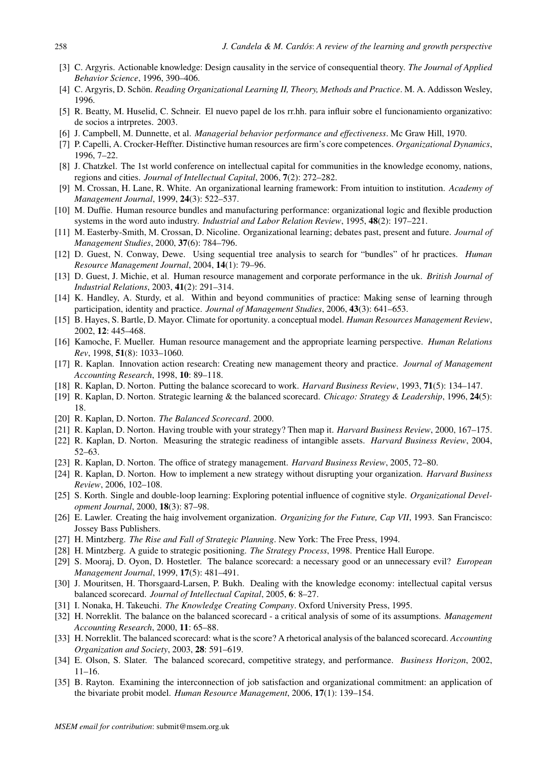- [3] C. Argyris. Actionable knowledge: Design causality in the service of consequential theory. *The Journal of Applied Behavior Science*, 1996, 390–406.
- [4] C. Argyris, D. Schön. *Reading Organizational Learning II, Theory, Methods and Practice*. M. A. Addisson Wesley, 1996.
- [5] R. Beatty, M. Huselid, C. Schneir. El nuevo papel de los rr.hh. para influir sobre el funcionamiento organizativo: de socios a intrpretes. 2003.
- [6] J. Campbell, M. Dunnette, et al. *Managerial behavior performance and effectiveness*. Mc Graw Hill, 1970.
- [7] P. Capelli, A. Crocker-Heffter. Distinctive human resources are firm's core competences. *Organizational Dynamics*, 1996, 7–22.
- [8] J. Chatzkel. The 1st world conference on intellectual capital for communities in the knowledge economy, nations, regions and cities. *Journal of Intellectual Capital*, 2006, 7(2): 272–282.
- [9] M. Crossan, H. Lane, R. White. An organizational learning framework: From intuition to institution. *Academy of Management Journal*, 1999, 24(3): 522–537.
- [10] M. Duffie. Human resource bundles and manufacturing performance: organizational logic and flexible production systems in the word auto industry. *Industrial and Labor Relation Review*, 1995, 48(2): 197–221.
- [11] M. Easterby-Smith, M. Crossan, D. Nicoline. Organizational learning; debates past, present and future. *Journal of Management Studies*, 2000, 37(6): 784–796.
- [12] D. Guest, N. Conway, Dewe. Using sequential tree analysis to search for "bundles" of hr practices. *Human Resource Management Journal*, 2004, 14(1): 79–96.
- [13] D. Guest, J. Michie, et al. Human resource management and corporate performance in the uk. *British Journal of Industrial Relations*, 2003, 41(2): 291–314.
- [14] K. Handley, A. Sturdy, et al. Within and beyond communities of practice: Making sense of learning through participation, identity and practice. *Journal of Management Studies*, 2006, 43(3): 641–653.
- [15] B. Hayes, S. Bartle, D. Mayor. Climate for oportunity. a conceptual model. *Human Resources Management Review*, 2002, 12: 445–468.
- [16] Kamoche, F. Mueller. Human resource management and the appropriate learning perspective. *Human Relations Rev*, 1998, 51(8): 1033–1060.
- [17] R. Kaplan. Innovation action research: Creating new management theory and practice. *Journal of Management Accounting Research*, 1998, 10: 89–118.
- [18] R. Kaplan, D. Norton. Putting the balance scorecard to work. *Harvard Business Review*, 1993, 71(5): 134–147.
- [19] R. Kaplan, D. Norton. Strategic learning & the balanced scorecard. *Chicago: Strategy & Leadership*, 1996, 24(5): 18.
- [20] R. Kaplan, D. Norton. *The Balanced Scorecard*. 2000.
- [21] R. Kaplan, D. Norton. Having trouble with your strategy? Then map it. *Harvard Business Review*, 2000, 167–175.
- [22] R. Kaplan, D. Norton. Measuring the strategic readiness of intangible assets. *Harvard Business Review*, 2004, 52–63.
- [23] R. Kaplan, D. Norton. The office of strategy management. *Harvard Business Review*, 2005, 72–80.
- [24] R. Kaplan, D. Norton. How to implement a new strategy without disrupting your organization. *Harvard Business Review*, 2006, 102–108.
- [25] S. Korth. Single and double-loop learning: Exploring potential influence of cognitive style. *Organizational Development Journal*, 2000, 18(3): 87–98.
- [26] E. Lawler. Creating the haig involvement organization. *Organizing for the Future, Cap VII*, 1993. San Francisco: Jossey Bass Publishers.
- [27] H. Mintzberg. *The Rise and Fall of Strategic Planning*. New York: The Free Press, 1994.
- [28] H. Mintzberg. A guide to strategic positioning. *The Strategy Process*, 1998. Prentice Hall Europe.
- [29] S. Mooraj, D. Oyon, D. Hostetler. The balance scorecard: a necessary good or an unnecessary evil? *European Management Journal*, 1999, 17(5): 481–491.
- [30] J. Mouritsen, H. Thorsgaard-Larsen, P. Bukh. Dealing with the knowledge economy: intellectual capital versus balanced scorecard. *Journal of Intellectual Capital*, 2005, 6: 8–27.
- [31] I. Nonaka, H. Takeuchi. *The Knowledge Creating Company*. Oxford University Press, 1995.
- [32] H. Norreklit. The balance on the balanced scorecard a critical analysis of some of its assumptions. *Management Accounting Research*, 2000, 11: 65–88.
- [33] H. Norreklit. The balanced scorecard: what is the score? A rhetorical analysis of the balanced scorecard. *Accounting Organization and Society*, 2003, 28: 591–619.
- [34] E. Olson, S. Slater. The balanced scorecard, competitive strategy, and performance. *Business Horizon*, 2002, 11–16.
- [35] B. Rayton. Examining the interconnection of job satisfaction and organizational commitment: an application of the bivariate probit model. *Human Resource Management*, 2006, 17(1): 139–154.